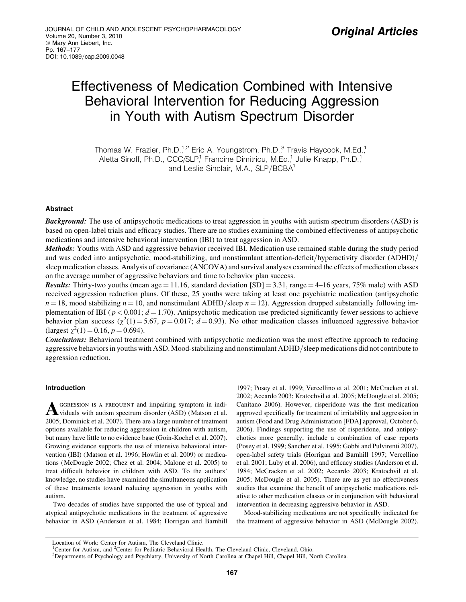# Effectiveness of Medication Combined with Intensive Behavioral Intervention for Reducing Aggression in Youth with Autism Spectrum Disorder

Thomas W. Frazier, Ph.D.,<sup>1,2</sup> Eric A. Youngstrom, Ph.D., $3$  Travis Haycook, M.Ed.,<sup>1</sup> Aletta Sinoff, Ph.D., CCC/SLP,<sup>1</sup> Francine Dimitriou, M.Ed.,<sup>1</sup> Julie Knapp, Ph.D.,<sup>1</sup> and Leslie Sinclair, M.A.,  $SLP/BCBA<sup>1</sup>$ 

# Abstract

**Background:** The use of antipsychotic medications to treat aggression in youths with autism spectrum disorders (ASD) is based on open-label trials and efficacy studies. There are no studies examining the combined effectiveness of antipsychotic medications and intensive behavioral intervention (IBI) to treat aggression in ASD.

Methods: Youths with ASD and aggressive behavior received IBI. Medication use remained stable during the study period and was coded into antipsychotic, mood-stabilizing, and nonstimulant attention-deficit/hyperactivity disorder  $(ADHD)/$ sleep medication classes. Analysis of covariance (ANCOVA) and survival analyses examined the effects of medication classes on the average number of aggressive behaviors and time to behavior plan success.

**Results:** Thirty-two youths (mean age = 11.16, standard deviation  $[SD] = 3.31$ , range = 4–16 years, 75% male) with ASD received aggression reduction plans. Of these, 25 youths were taking at least one psychiatric medication (antipsychotic  $n = 18$ , mood stabilizing  $n = 10$ , and nonstimulant ADHD/sleep  $n = 12$ ). Aggression dropped substantially following implementation of IBI ( $p < 0.001$ ;  $d = 1.70$ ). Antipsychotic medication use predicted significantly fewer sessions to achieve behavior plan success  $(\chi^2(1) = 5.67, p = 0.017; d = 0.93)$ . No other medication classes influenced aggressive behavior (largest  $\chi^2(1) = 0.16$ ,  $p = 0.694$ ).

Conclusions: Behavioral treatment combined with antipsychotic medication was the most effective approach to reducing aggressive behaviors in youths with ASD. Mood-stabilizing and nonstimulant ADHD/sleep medications did not contribute to aggression reduction.

## Introduction

A GGRESSION IS A FREQUENT and impairing symptom in indi-<br>viduals with autism spectrum disorder (ASD) (Matson et al. 2005; Dominick et al. 2007). There are a large number of treatment options available for reducing aggression in children with autism, but many have little to no evidence base (Goin-Kochel et al. 2007). Growing evidence supports the use of intensive behavioral intervention (IBI) (Matson et al. 1996; Howlin et al. 2009) or medications (McDougle 2002; Chez et al. 2004; Malone et al. 2005) to treat difficult behavior in children with ASD. To the authors' knowledge, no studies have examined the simultaneous application of these treatments toward reducing aggression in youths with autism.

Two decades of studies have supported the use of typical and atypical antipsychotic medications in the treatment of aggressive behavior in ASD (Anderson et al. 1984; Horrigan and Barnhill

1997; Posey et al. 1999; Vercellino et al. 2001; McCracken et al. 2002; Accardo 2003; Kratochvil et al. 2005; McDougle et al. 2005; Canitano 2006). However, risperidone was the first medication approved specifically for treatment of irritability and aggression in autism (Food and Drug Administration [FDA] approval, October 6, 2006). Findings supporting the use of risperidone, and antipsychotics more generally, include a combination of case reports (Posey et al. 1999; Sanchez et al. 1995; Gobbi and Pulvirenti 2007), open-label safety trials (Horrigan and Barnhill 1997; Vercellino et al. 2001; Luby et al. 2006), and efficacy studies (Anderson et al. 1984; McCracken et al. 2002; Accardo 2003; Kratochvil et al. 2005; McDougle et al. 2005). There are as yet no effectiveness studies that examine the benefit of antipsychotic medications relative to other medication classes or in conjunction with behavioral intervention in decreasing aggressive behavior in ASD.

Mood-stabilizing medications are not specifically indicated for the treatment of aggressive behavior in ASD (McDougle 2002).

Location of Work: Center for Autism, The Cleveland Clinic.

<sup>&</sup>lt;sup>1</sup>Center for Autism, and <sup>2</sup>Center for Pediatric Behavioral Health, The Cleveland Clinic, Cleveland, Ohio. <sup>3</sup>Departments of Psychology and Psychiatry. University of North Carolina at Chanal Hill, Chanal Hill, N

<sup>&</sup>lt;sup>3</sup>Departments of Psychology and Psychiatry, University of North Carolina at Chapel Hill, Chapel Hill, North Carolina.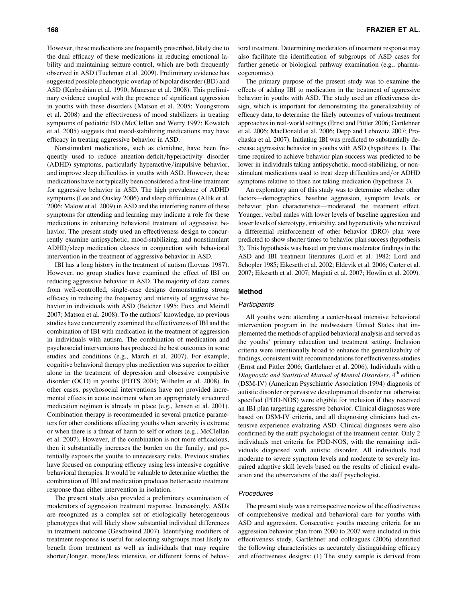However, these medications are frequently prescribed, likely due to the dual efficacy of these medications in reducing emotional lability and maintaining seizure control, which are both frequently observed in ASD (Tuchman et al. 2009). Preliminary evidence has suggested possible phenotypic overlap of bipolar disorder (BD) and ASD (Kerbeshian et al. 1990; Munesue et al. 2008). This preliminary evidence coupled with the presence of significant aggression in youths with these disorders (Matson et al. 2005; Youngstrom et al. 2008) and the effectiveness of mood stabilizers in treating symptoms of pediatric BD (McClellan and Werry 1997; Kowatch et al. 2005) suggests that mood-stabilizing medications may have efficacy in treating aggressive behavior in ASD.

Nonstimulant medications, such as clonidine, have been frequently used to reduce attention-deficit/hyperactivity disorder (ADHD) symptoms, particularly hyperactive/impulsive behavior, and improve sleep difficulties in youths with ASD. However, these medications have not typically been considered a first-line treatment for aggressive behavior in ASD. The high prevalence of ADHD symptoms (Lee and Ousley 2006) and sleep difficulties (Allik et al. 2006; Malow et al. 2009) in ASD and the interfering nature of these symptoms for attending and learning may indicate a role for these medications in enhancing behavioral treatment of aggressive behavior. The present study used an effectiveness design to concurrently examine antipsychotic, mood-stabilizing, and nonstimulant  $ADHD/sleep$  medication classes in conjunction with behavioral intervention in the treatment of aggressive behavior in ASD.

IBI has a long history in the treatment of autism (Lovaas 1987). However, no group studies have examined the effect of IBI on reducing aggressive behavior in ASD. The majority of data comes from well-controlled, single-case designs demonstrating strong efficacy in reducing the frequency and intensity of aggressive behavior in individuals with ASD (Belcher 1995; Foxx and Meindl 2007; Matson et al. 2008). To the authors' knowledge, no previous studies have concurrently examined the effectiveness of IBI and the combination of IBI with medication in the treatment of aggression in individuals with autism. The combination of medication and psychosocial interventions has produced the best outcomes in some studies and conditions (e.g., March et al. 2007). For example, cognitive behavioral therapy plus medication was superior to either alone in the treatment of depression and obsessive compulsive disorder (OCD) in youths (POTS 2004; Wilhelm et al. 2008). In other cases, psychosocial interventions have not provided incremental effects in acute treatment when an appropriately structured medication regimen is already in place (e.g., Jensen et al. 2001). Combination therapy is recommended in several practice parameters for other conditions affecting youths when severity is extreme or when there is a threat of harm to self or others (e.g., McClellan et al. 2007). However, if the combination is not more efficacious, then it substantially increases the burden on the family, and potentially exposes the youths to unnecessary risks. Previous studies have focused on comparing efficacy using less intensive cognitive behavioral therapies. It would be valuable to determine whether the combination of IBI and medication produces better acute treatment response than either intervention in isolation.

The present study also provided a preliminary examination of moderators of aggression treatment response. Increasingly, ASDs are recognized as a complex set of etiologically heterogeneous phenotypes that will likely show substantial individual differences in treatment outcome (Geschwind 2007). Identifying modifiers of treatment response is useful for selecting subgroups most likely to benefit from treatment as well as individuals that may require shorter/longer, more/less intensive, or different forms of behavioral treatment. Determining moderators of treatment response may also facilitate the identification of subgroups of ASD cases for further genetic or biological pathway examination (e.g., pharmacogenomics).

The primary purpose of the present study was to examine the effects of adding IBI to medication in the treatment of aggressive behavior in youths with ASD. The study used an effectiveness design, which is important for demonstrating the generalizability of efficacy data, to determine the likely outcomes of various treatment approaches in real-world settings (Ernst and Pittler 2006; Gartlehner et al. 2006; MacDonald et al. 2006; Depp and Lebowitz 2007; Prochaska et al. 2007). Initiating IBI was predicted to substantially decrease aggressive behavior in youths with ASD (hypothesis 1). The time required to achieve behavior plan success was predicted to be lower in individuals taking antipsychotic, mood-stabilizing, or nonstimulant medications used to treat sleep difficulties and/or ADHD symptoms relative to those not taking medication (hypothesis 2).

An exploratory aim of this study was to determine whether other factors—demographics, baseline aggression, symptom levels, or behavior plan characteristics—moderated the treatment effect. Younger, verbal males with lower levels of baseline aggression and lower levels of stereotypy, irritability, and hyperactivity who received a differential reinforcement of other behavior (DRO) plan were predicted to show shorter times to behavior plan success (hypothesis 3). This hypothesis was based on previous moderator findings in the ASD and IBI treatment literatures (Lord et al. 1982; Lord and Schopler 1985; Eikeseth et al. 2002; Eldevik et al. 2006; Carter et al. 2007; Eikeseth et al. 2007; Magiati et al. 2007; Howlin et al. 2009).

#### Method

#### **Participants**

All youths were attending a center-based intensive behavioral intervention program in the midwestern United States that implemented the methods of applied behavioral analysis and served as the youths' primary education and treatment setting. Inclusion criteria were intentionally broad to enhance the generalizabilty of findings, consistent with recommendations for effectiveness studies (Ernst and Pittler 2006; Gartlehner et al. 2006). Individuals with a Diagnostic and Statistical Manual of Mental Disorders, 4<sup>th</sup> edition (DSM-IV) (American Psyschiatric Association 1994) diagnosis of autistic disorder or pervasive developmental disorder not otherwise specified (PDD-NOS) were eligible for inclusion if they received an IBI plan targeting aggressive behavior. Clinical diagnoses were based on DSM-IV criteria, and all diagnosing clinicians had extensive experience evaluating ASD. Clinical diagnoses were also confirmed by the staff psychologist of the treatment center. Only 2 individuals met criteria for PDD-NOS, with the remaining individuals diagnosed with autistic disorder. All individuals had moderate to severe symptom levels and moderate to severely impaired adaptive skill levels based on the results of clinical evaluation and the observations of the staff psychologist.

## **Procedures**

The present study was a retrospective review of the effectiveness of comprehensive medical and behavioral care for youths with ASD and aggression. Consecutive youths meeting criteria for an aggression behavior plan from 2000 to 2007 were included in this effectiveness study. Gartlehner and colleagues (2006) identified the following characteristics as accurately distinguishing efficacy and effectiveness designs: (1) The study sample is derived from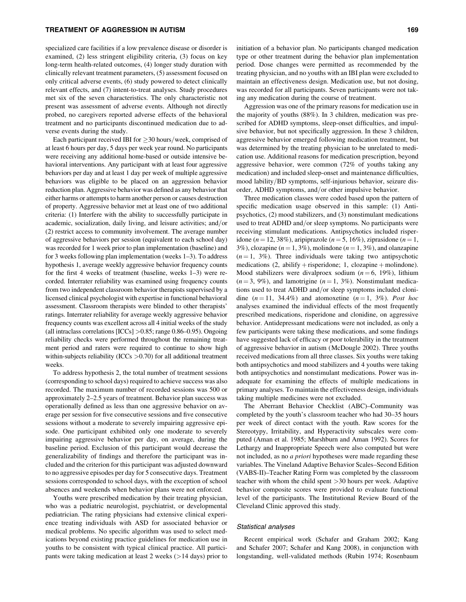specialized care facilities if a low prevalence disease or disorder is examined, (2) less stringent eligibility criteria, (3) focus on key long-term health-related outcomes, (4) longer study duration with clinically relevant treatment parameters, (5) assessment focused on only critical adverse events, (6) study powered to detect clinically relevant effects, and (7) intent-to-treat analyses. Study procedures met six of the seven characteristics. The only characteristic not present was assessment of adverse events. Although not directly probed, no caregivers reported adverse effects of the behavioral treatment and no participants discontinued medication due to adverse events during the study.

Each participant received IBI for  $\geq$  30 hours/week, comprised of at least 6 hours per day, 5 days per week year round. No participants were receiving any additional home-based or outside intensive behavioral interventions. Any participant with at least four aggressive behaviors per day and at least 1 day per week of multiple aggressive behaviors was eligible to be placed on an aggression behavior reduction plan. Aggressive behavior was defined as any behavior that either harms or attempts to harm another person or causes destruction of property. Aggressive behavior met at least one of two additional criteria: (1) Interfere with the ability to successfully participate in academic, socialization, daily living, and leisure activities; and/or (2) restrict access to community involvement. The average number of aggressive behaviors per session (equivalent to each school day) was recorded for 1 week prior to plan implementation (baseline) and for 3 weeks following plan implementation (weeks 1–3). To address hypothesis 1, average weekly aggressive behavior frequency counts for the first 4 weeks of treatment (baseline, weeks 1–3) were recorded. Interrater reliability was examined using frequency counts from two independent classroom behavior therapists supervised by a licensed clinical psychologist with expertise in functional behavioral assessment. Classroom therapists were blinded to other therapists' ratings. Interrater reliability for average weekly aggressive behavior frequency counts was excellent across all 4 initial weeks of the study (all intraclass correlations  $[ICCs] > 0.85$ ; range 0.86–0.95). Ongoing reliability checks were performed throughout the remaining treatment period and raters were required to continue to show high within-subjects reliability (ICCs  $>0.70$ ) for all additional treatment weeks.

To address hypothesis 2, the total number of treatment sessions (corresponding to school days) required to achieve success was also recorded. The maximum number of recorded sessions was 500 or approximately 2–2.5 years of treatment. Behavior plan success was operationally defined as less than one aggressive behavior on average per session for five consecutive sessions and five consecutive sessions without a moderate to severely impairing aggressive episode. One participant exhibited only one moderate to severely impairing aggressive behavior per day, on average, during the baseline period. Exclusion of this participant would decrease the generalizability of findings and therefore the participant was included and the criterion for this participant was adjusted downward to no aggressive episodes per day for 5 consecutive days. Treatment sessions corresponded to school days, with the exception of school absences and weekends when behavior plans were not enforced.

Youths were prescribed medication by their treating physician, who was a pediatric neurologist, psychiatrist, or developmental pediatrician. The rating physicians had extensive clinical experience treating individuals with ASD for associated behavior or medical problems. No specific algorithm was used to select medications beyond existing practice guidelines for medication use in youths to be consistent with typical clinical practice. All participants were taking medication at least 2 weeks (>14 days) prior to initiation of a behavior plan. No participants changed medication type or other treatment during the behavior plan implementation period. Dose changes were permitted as recommended by the treating physician, and no youths with an IBI plan were excluded to maintain an effectiveness design. Medication use, but not dosing, was recorded for all participants. Seven participants were not taking any medication during the course of treatment.

Aggression was one of the primary reasons for medication use in the majority of youths (88%). In 3 children, medication was prescribed for ADHD symptoms, sleep-onset difficulties, and impulsive behavior, but not specifically aggression. In these 3 children, aggressive behavior emerged following medication treatment, but was determined by the treating physician to be unrelated to medication use. Additional reasons for medication prescription, beyond aggressive behavior, were common (72% of youths taking any medication) and included sleep-onset and maintenance difficulties, mood lability/BD symptoms, self-injurious behavior, seizure disorder, ADHD symptoms, and/or other impulsive behavior.

Three medication classes were coded based upon the pattern of specific medication usage observed in this sample: (1) Antipsychotics, (2) mood stabilizers, and (3) nonstimulant medications used to treat ADHD and/or sleep symptoms. No participants were receiving stimulant medications. Antipsychotics included risperidone (n = 12, 38%), aripiprazole (n = 5, 16%), ziprasidone (n = 1, 3%), clozapine ( $n = 1, 3\%$ ), molindone ( $n = 1, 3\%$ ), and olanzapine  $(n = 1, 3\%)$ . Three individuals were taking two antipsychotic medications  $(2, \text{ability} + \text{risperidone}; 1, \text{clozapine} + \text{molindone}).$ Mood stabilizers were divalproex sodium ( $n = 6$ , 19%), lithium  $(n = 3, 9\%)$ , and lamotrigine  $(n = 1, 3\%)$ . Nonstimulant medications used to treat ADHD and/or sleep symptoms included clonidine  $(n = 11, 34.4\%)$  and atomoxetine  $(n = 1, 3\%)$ . Post hoc analyses examined the individual effects of the most frequently prescribed medications, risperidone and clonidine, on aggressive behavior. Antidepressant medications were not included, as only a few participants were taking these medications, and some findings have suggested lack of efficacy or poor tolerability in the treatment of aggressive behavior in autism (McDougle 2002). Three youths received medications from all three classes. Six youths were taking both antipsychotics and mood stabilizers and 4 youths were taking both antipsychotics and nonstimulant medications. Power was inadequate for examining the effects of multiple medications in primary analyses. To maintain the effectiveness design, individuals taking multiple medicines were not excluded.

The Aberrant Behavior Checklist (ABC)–Community was completed by the youth's classroom teacher who had 30–35 hours per week of direct contact with the youth. Raw scores for the Stereotypy, Irritability, and Hyperactivity subscales were computed (Aman et al. 1985; Marshburn and Aman 1992). Scores for Lethargy and Inappropriate Speech were also computed but were not included, as no a priori hypotheses were made regarding these variables. The Vineland Adaptive Behavior Scales–Second Edition (VABS-II)–Teacher Rating Form was completed by the classroom teacher with whom the child spent >30 hours per week. Adaptive behavior composite scores were provided to evaluate functional level of the participants. The Institutional Review Board of the Cleveland Clinic approved this study.

#### Statistical analyses

Recent empirical work (Schafer and Graham 2002; Kang and Schafer 2007; Schafer and Kang 2008), in conjunction with longstanding, well-validated methods (Rubin 1974; Rosenbaum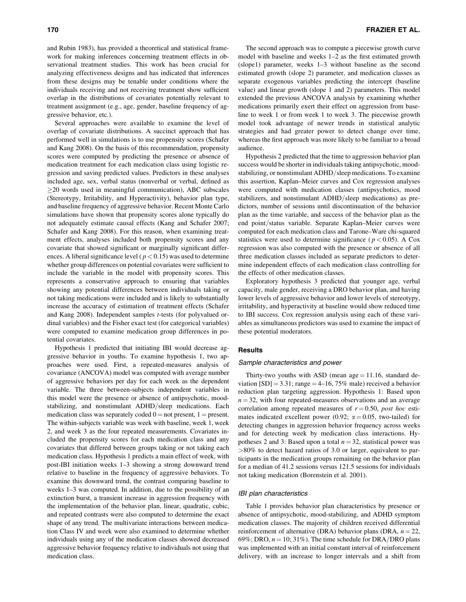and Rubin 1983), has provided a theoretical and statistical framework for making inferences concerning treatment effects in observational treatment studies. This work has been crucial for analyzing effectiveness designs and has indicated that inferences from these designs may be tenable under conditions where the individuals receiving and not receiving treatment show sufficient overlap in the distributions of covariates potentially relevant to treatment assignment (e.g., age, gender, baseline frequency of aggressive behavior, etc.).

Several approaches were available to examine the level of overlap of covariate distributions. A succinct approach that has performed well in simulations is to use propensity scores (Schafer and Kang 2008). On the basis of this recommendation, propensity scores were computed by predicting the presence or absence of medication treatment for each medication class using logistic regression and saving predicted values. Predictors in these analyses included age, sex, verbal status (nonverbal or verbal, defined as  $\geq$ 20 words used in meaningful communication), ABC subscales (Stereotypy, Irritability, and Hyperactivity), behavior plan type, and baseline frequency of aggressive behavior. Recent Monte Carlo simulations have shown that propensity scores alone typically do not adequately estimate causal effects (Kang and Schafer 2007; Schafer and Kang 2008). For this reason, when examining treatment effects, analyses included both propensity scores and any covariate that showed significant or marginally significant differences. A liberal significance level ( $p < 0.15$ ) was used to determine whether group differences on potential covariates were sufficient to include the variable in the model with propensity scores. This represents a conservative approach to ensuring that variables showing any potential differences between individuals taking or not taking medications were included and is likely to substantially increase the accuracy of estimation of treatment effects (Schafer and Kang 2008). Independent samples t-tests (for polyvalued ordinal variables) and the Fisher exact test (for categorical variables) were computed to examine medication group differences in potential covariates.

Hypothesis 1 predicted that initiating IBI would decrease aggressive behavior in youths. To examine hypothesis 1, two approaches were used. First, a repeated-measures analysis of covariance (ANCOVA) model was computed with average number of aggressive behaviors per day for each week as the dependent variable. The three between-subjects independent variables in this model were the presence or absence of antipsychotic, moodstabilizing, and nonstimulant ADHD/sleep medications. Each medication class was separately coded  $0 =$  not present,  $1 =$  present. The within-subjects variable was week with baseline, week 1, week 2, and week 3 as the four repeated measurements. Covariates included the propensity scores for each medication class and any covariates that differed between groups taking or not taking each medication class. Hypothesis 1 predicts a main effect of week, with post-IBI initiation weeks 1–3 showing a strong downward trend relative to baseline in the frequency of aggressive behaviors. To examine this downward trend, the contrast comparing baseline to weeks 1–3 was computed. In addition, due to the possibility of an extinction burst, a transient increase in aggression frequency with the implementation of the behavior plan, linear, quadratic, cubic, and repeated contrasts were also computed to determine the exact shape of any trend. The multivariate interactions between medication Class IV and week were also examined to determine whether individuals using any of the medication classes showed decreased aggressive behavior frequency relative to individuals not using that medication class.

The second approach was to compute a piecewise growth curve model with baseline and weeks 1–2 as the first estimated growth (slope1) parameter, weeks 1–3 without baseline as the second estimated growth (slope 2) parameter, and medication classes as separate exogenous variables predicting the intercept (baseline value) and linear growth (slope 1 and 2) parameters. This model extended the previous ANCOVA analysis by examining whether medications primarily exert their effect on aggression from baseline to week 1 or from week 1 to week 3. The piecewise growth model took advantage of newer trends in statistical analytic strategies and had greater power to detect change over time, whereas the first approach was more likely to be familiar to a broad audience.

Hypothesis 2 predicted that the time to aggression behavior plan success would be shorter in individuals taking antipsychotic, moodstabilizing, or nonstimulant ADHD/sleep medications. To examine this assertion, Kaplan–Meier curves and Cox regression analyses were computed with medication classes (antipsychotics, mood stabilizers, and nonstimulant ADHD/sleep medications) as predictors, number of sessions until discontinuation of the behavior plan as the time variable, and success of the behavior plan as the end point/status variable. Separate Kaplan–Meier curves were computed for each medication class and Tarone–Ware chi-squared statistics were used to determine significance ( $p < 0.05$ ). A Cox regression was also computed with the presence or absence of all three medication classes included as separate predictors to determine independent effects of each medication class controlling for the effects of other medication classes.

Exploratory hypothesis 3 predicted that younger age, verbal capacity, male gender, receiving a DRO behavior plan, and having lower levels of aggressive behavior and lower levels of stereotypy, irritability, and hyperactivity at baseline would show reduced time to IBI success. Cox regression analysis using each of these variables as simultaneous predictors was used to examine the impact of these potential moderators.

# **Results**

#### Sample characteristics and power

Thirty-two youths with ASD (mean  $age = 11.16$ , standard deviation  $[SD] = 3.31$ ; range = 4–16, 75% male) received a behavior reduction plan targeting aggression. Hypothesis 1: Based upon  $n = 32$ , with four repeated-measures observations and an average correlation among repeated measures of  $r = 0.50$ , post hoc estimates indicated excellent power (0.92;  $\alpha = 0.05$ , two-tailed) for detecting changes in aggression behavior frequency across weeks and for detecting week by medication class interactions. Hypotheses 2 and 3: Based upon a total  $n = 32$ , statistical power was >80% to detect hazard ratios of 3.0 or larger, equivalent to participants in the medication groups remaining on the behavior plan for a median of 41.2 sessions versus 121.5 sessions for individuals not taking medication (Borenstein et al. 2001).

### IBI plan characteristics

Table 1 provides behavior plan characteristics by presence or absence of antipsychotic, mood-stabilizing, and ADHD symptom medication classes. The majority of children received differential reinforcement of alternative (DRA) behavior plans (DRA,  $n = 22$ , 69%; DRO,  $n = 10$ ; 31%). The time schedule for DRA/DRO plans was implemented with an initial constant interval of reinforcement delivery, with an increase to longer intervals and a shift from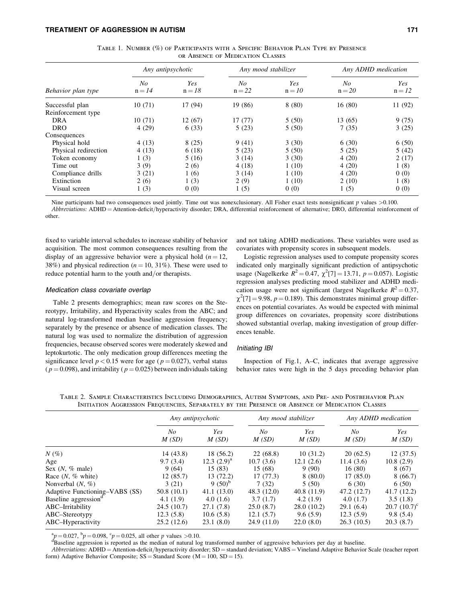| Behavior plan type   | Any antipsychotic |                 | Any mood stabilizer |                 | Any ADHD medication |                 |
|----------------------|-------------------|-----------------|---------------------|-----------------|---------------------|-----------------|
|                      | No<br>$n = 14$    | Yes<br>$n = 18$ | No<br>$n = 22$      | Yes<br>$n = 10$ | No<br>$n = 20$      | Yes<br>$n = 12$ |
| Successful plan      | 10(71)            | 17 (94)         | 19 (86)             | 8(80)           | 16(80)              | 11 (92)         |
| Reinforcement type   |                   |                 |                     |                 |                     |                 |
| <b>DRA</b>           | 10(71)            | 12(67)          | 17(77)              | 5(50)           | 13 (65)             | 9(75)           |
| <b>DRO</b>           | 4(29)             | 6(33)           | 5(23)               | 5(50)           | 7(35)               | 3(25)           |
| Consequences         |                   |                 |                     |                 |                     |                 |
| Physical hold        | 4(13)             | 8(25)           | 9(41)               | 3(30)           | 6(30)               | 6(50)           |
| Physical redirection | 4(13)             | 6(18)           | 5(23)               | 5(50)           | 5(25)               | 5(42)           |
| Token economy        | 1(3)              | 5(16)           | 3(14)               | 3(30)           | 4(20)               | 2(17)           |
| Time out             | 3(9)              | 2(6)            | 4(18)               | 1(10)           | 4(20)               | 1(8)            |
| Compliance drills    | 3(21)             | 1(6)            | 3(14)               | 1(10)           | 4(20)               | 0(0)            |
| Extinction           | 2(6)              | 1(3)            | 2(9)                | 1(10)           | 2(10)               | 1(8)            |
| Visual screen        | 1(3)              | 0(0)            | 1(5)                | 0(0)            | 1(5)                | 0(0)            |

Table 1. Number (%) of Participants with a Specific Behavior Plan Type by Presence or Absence of Medication Classes

Nine participants had two consequences used jointly. Time out was nonexclusionary. All Fisher exact tests nonsignificant  $p$  values  $>0.100$ . Abbreviations: ADHD = Attention-deficit/hyperactivity disorder; DRA, differential reinforcement of alternative; DRO, differential reinforcement of other.

fixed to variable interval schedules to increase stability of behavior acquisition. The most common consequences resulting from the display of an aggressive behavior were a physical hold  $(n = 12,$ 38%) and physical redirection ( $n = 10, 31\%$ ). These were used to reduce potential harm to the youth and/or therapists.

#### Medication class covariate overlap

Table 2 presents demographics; mean raw scores on the Stereotypy, Irritability, and Hyperactivity scales from the ABC; and natural log-transformed median baseline aggression frequency; separately by the presence or absence of medication classes. The natural log was used to normalize the distribution of aggression frequencies, because observed scores were moderately skewed and leptokurtotic. The only medication group differences meeting the significance level  $p < 0.15$  were for age ( $p = 0.027$ ), verbal status ( $p = 0.098$ ), and irritability ( $p = 0.025$ ) between individuals taking and not taking ADHD medications. These variables were used as covariates with propensity scores in subsequent models.

Logistic regression analyses used to compute propensity scores indicated only marginally significant prediction of antipsychotic usage (Nagelkerke  $R^2 = 0.47$ ,  $\chi^2[7] = 13.71$ ,  $p = 0.057$ ). Logistic regression analyses predicting mood stabilizer and ADHD medication usage were not significant (largest Nagelkerke  $R^2 = 0.37$ ,  $\chi^2$ [7] = 9.98, p = 0.189). This demonstrates minimal group differences on potential covariates. As would be expected with minimal group differences on covariates, propensity score distributions showed substantial overlap, making investigation of group differences tenable.

#### Initiating IBI

Inspection of Fig.1, A–C, indicates that average aggressive behavior rates were high in the 5 days preceding behavior plan

|                                  | Any antipsychotic |                | Any mood stabilizer |              | Any ADHD medication     |                       |
|----------------------------------|-------------------|----------------|---------------------|--------------|-------------------------|-----------------------|
|                                  | $N_{O}$<br>M(SD)  | Yes<br>M(SD)   | $N_{O}$<br>M(SD)    | Yes<br>M(SD) | N <sub>O</sub><br>M(SD) | Yes<br>M(SD)          |
| $N(\%)$                          | 14(43.8)          | 18 (56.2)      | 22(68.8)            | 10(31.2)     | 20(62.5)                | 12(37.5)              |
| Age                              | 9.7(3.4)          | $12.3 (2.9)^a$ | 10.7(3.6)           | 12.1(2.6)    | 11.4(3.6)               | 10.8(2.9)             |
| Sex $(N, %$ male)                | 9(64)             | 15(83)         | 15 (68)             | 9(90)        | 16(80)                  | 8(67)                 |
| Race $(N, %$ white)              | 12(85.7)          | 13 (72.2)      | 17(77.3)            | 8(80.0)      | 17(85.0)                | 8(66.7)               |
| Nonverbal $(N, \%)$              | 3(21)             | 9 $(50)^b$     | 7(32)               | 5(50)        | 6(30)                   | 6(50)                 |
| Adaptive Functioning-VABS (SS)   | 50.8(10.1)        | 41.1(13.0)     | 48.3 (12.0)         | 40.8(11.9)   | 47.2 (12.7)             | 41.7(12.2)            |
| Baseline aggression <sup>d</sup> | 4.1(1.9)          | 4.0(1.6)       | 3.7(1.7)            | 4.2(1.9)     | 4.0(1.7)                | 3.5(1.8)              |
| ABC-Irritability                 | 24.5(10.7)        | 27.1(7.8)      | 25.0(8.7)           | 28.0 (10.2)  | 29.1(6.4)               | $20.7~(10.7)^{\circ}$ |
| ABC-Stereotypy                   | 12.3(5.8)         | 10.6(5.8)      | 12.1(5.7)           | 9.6(5.9)     | 12.3(5.9)               | 9.8(5.4)              |
| ABC-Hyperactivity                | 25.2(12.6)        | 23.1(8.0)      | 24.9(11.0)          | 22.0(8.0)    | 26.3(10.5)              | 20.3(8.7)             |

Table 2. Sample Characteristics Including Demographics, Autism Symptoms, and Pre- and Postbehavior Plan Initiation Aggression Frequencies, Separately by the Presence or Absence of Medication Classes

 ${}_{\text{ap}}^{a}p = 0.027$ ,  ${}_{p}^{b}p = 0.098$ ,  ${}_{p}^{c}p = 0.025$ , all other p values >0.10.

<sup>d</sup>Baseline aggression is reported as the median of natural log transformed number of aggressive behaviors per day at baseline.

 $Abbreviations: ADHD = Attention-deficit/hyperactivity disorder; SD = standard deviation; VABS = Vineland Adaptive Behavior Scale (teacher report)$ form) Adaptive Behavior Composite;  $SS = Standard Score (M = 100, SD = 15)$ .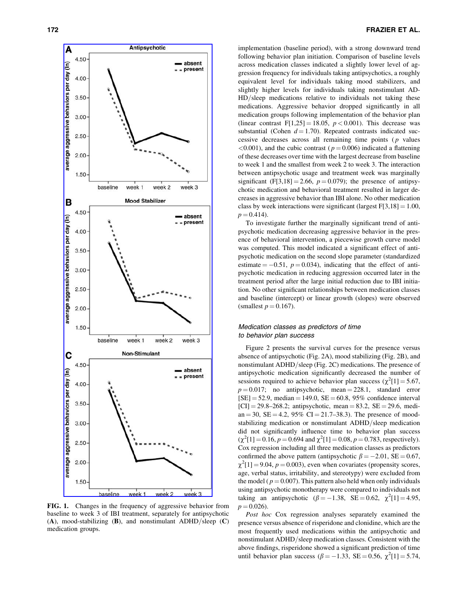

FIG. 1. Changes in the frequency of aggressive behavior from baseline to week 3 of IBI treatment, separately for antipsychotic (A), mood-stabilizing (B), and nonstimulant ADHD/sleep  $(C)$ medication groups.

implementation (baseline period), with a strong downward trend following behavior plan initiation. Comparison of baseline levels across medication classes indicated a slightly lower level of aggression frequency for individuals taking antipsychotics, a roughly equivalent level for individuals taking mood stabilizers, and slightly higher levels for individuals taking nonstimulant AD- $HD/sleep$  medications relative to individuals not taking these medications. Aggressive behavior dropped significantly in all medication groups following implementation of the behavior plan (linear contrast  $F[1,25] = 18.05$ ,  $p < 0.001$ ). This decrease was substantial (Cohen  $d = 1.70$ ). Repeated contrasts indicated successive decreases across all remaining time points  $(p$  values  $\langle 0.001 \rangle$ , and the cubic contrast ( $p = 0.006$ ) indicated a flattening of these decreases over time with the largest decrease from baseline to week 1 and the smallest from week 2 to week 3. The interaction between antipsychotic usage and treatment week was marginally significant (F[3,18] = 2.66,  $p = 0.079$ ); the presence of antipsychotic medication and behavioral treatment resulted in larger decreases in aggressive behavior than IBI alone. No other medication class by week interactions were significant (largest  $F[3,18] = 1.00$ ,  $p = 0.414$ .

To investigate further the marginally significant trend of antipsychotic medication decreasing aggressive behavior in the presence of behavioral intervention, a piecewise growth curve model was computed. This model indicated a significant effect of antipsychotic medication on the second slope parameter (standardized estimate  $=$  -0.51,  $p = 0.034$ ), indicating that the effect of antipsychotic medication in reducing aggression occurred later in the treatment period after the large initial reduction due to IBI initiation. No other significant relationships between medication classes and baseline (intercept) or linear growth (slopes) were observed (smallest  $p = 0.167$ ).

## Medication classes as predictors of time to behavior plan success

Figure 2 presents the survival curves for the presence versus absence of antipsychotic (Fig. 2A), mood stabilizing (Fig. 2B), and nonstimulant  $ADHD/sleep$  (Fig. 2C) medications. The presence of antipsychotic medication significantly decreased the number of sessions required to achieve behavior plan success  $(\chi^2[1] = 5.67,$  $p = 0.017$ ; no antipsychotic, mean = 228.1, standard error  $[SE] = 52.9$ , median = 149.0,  $SE = 60.8$ , 95% confidence interval  $|CI| = 29.8 - 268.2$ ; antipsychotic, mean = 83.2,  $SE = 29.6$ , median = 30, SE = 4.2, 95% CI = 21.7–38.3). The presence of moodstabilizing medication or nonstimulant ADHD/sleep medication did not significantly influence time to behavior plan success  $(\chi^2[1] = 0.16, p = 0.694 \text{ and } \chi^2[1] = 0.08, p = 0.783, \text{ respectively}).$ Cox regression including all three medication classes as predictors confirmed the above pattern (antipsychotic  $\beta = -2.01$ , SE = 0.67,  $\chi^2[1] = 9.04$ ,  $p = 0.003$ ), even when covariates (propensity scores, age, verbal status, irritability, and stereotypy) were excluded from the model ( $p = 0.007$ ). This pattern also held when only individuals using antipsychotic monotherapy were compared to individuals not taking an antipsychotic  $(\beta = -1.38, \text{ SE} = 0.62, \chi^2[1] = 4.95,$  $p = 0.026$ .

Post hoc Cox regression analyses separately examined the presence versus absence of risperidone and clonidine, which are the most frequently used medications within the antipsychotic and nonstimulant ADHD/sleep medication classes. Consistent with the above findings, risperidone showed a significant prediction of time until behavior plan success ( $\beta = -1.33$ , SE = 0.56,  $\chi^2[1] = 5.74$ ,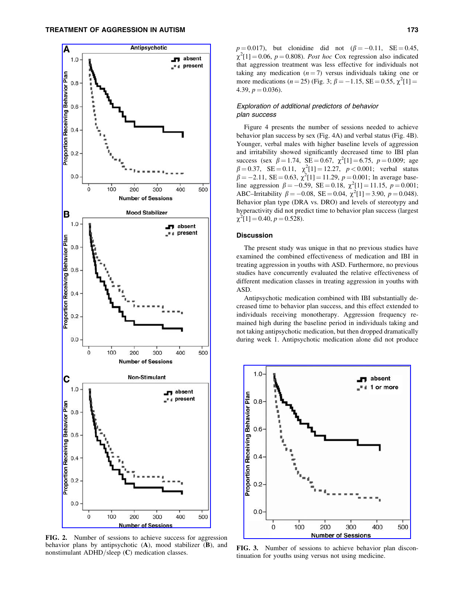

FIG. 2. Number of sessions to achieve success for aggression behavior plans by antipsychotic  $(A)$ , mood stabilizer  $(B)$ , and behavior plans by antipsycholic  $(A)$ , mood stabilizer  $(B)$ , and **FIG. 3.** Number of sessions to achieve behavior plan disconnonstimulant ADHD/sleep  $(C)$  medication classes.

## Exploration of additional predictors of behavior plan success

Figure 4 presents the number of sessions needed to achieve behavior plan success by sex (Fig. 4A) and verbal status (Fig. 4B). Younger, verbal males with higher baseline levels of aggression and irritability showed significantly decreased time to IBI plan success (sex  $\beta = 1.74$ , SE = 0.67,  $\chi^2[1] = 6.75$ ,  $p = 0.009$ ; age  $\beta = 0.37$ ,  $SE = 0.11$ ,  $\chi^2[1] = 12.27$ ,  $p < 0.001$ ; verbal status  $\beta = -2.11$ , SE = 0.63,  $\chi^2[1] = 11.29$ ,  $p = 0.001$ ; ln average baseline aggression  $\beta = -0.59$ , SE = 0.18,  $\chi^2[1] = 11.15$ ,  $p = 0.001$ ; ABC–Irritability  $\beta = -0.08$ , SE = 0.04,  $\chi^2[1] = 3.90$ ,  $p = 0.048$ ). Behavior plan type (DRA vs. DRO) and levels of stereotypy and hyperactivity did not predict time to behavior plan success (largest  $\chi^2$ [1] = 0.40,  $p = 0.528$ ).

## Discussion

The present study was unique in that no previous studies have examined the combined effectiveness of medication and IBI in treating aggression in youths with ASD. Furthermore, no previous studies have concurrently evaluated the relative effectiveness of different medication classes in treating aggression in youths with ASD.

Antipsychotic medication combined with IBI substantially decreased time to behavior plan success, and this effect extended to individuals receiving monotherapy. Aggression frequency remained high during the baseline period in individuals taking and not taking antipsychotic medication, but then dropped dramatically during week 1. Antipsychotic medication alone did not produce



tinuation for youths using versus not using medicine.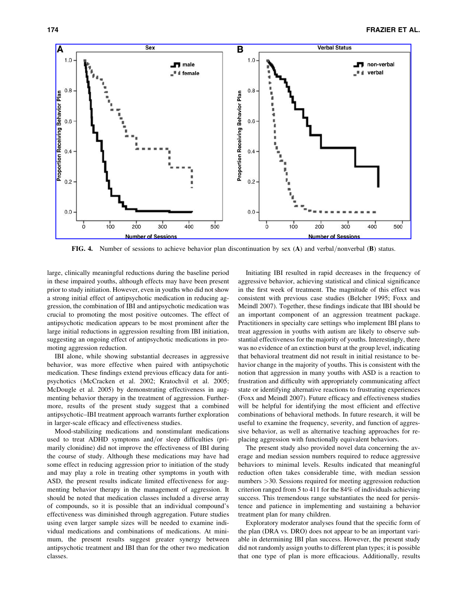

FIG. 4. Number of sessions to achieve behavior plan discontinuation by sex  $(A)$  and verbal/nonverbal (B) status.

large, clinically meaningful reductions during the baseline period in these impaired youths, although effects may have been present prior to study initiation. However, even in youths who did not show a strong initial effect of antipsychotic medication in reducing aggression, the combination of IBI and antipsychotic medication was crucial to promoting the most positive outcomes. The effect of antipsychotic medication appears to be most prominent after the large initial reductions in aggression resulting from IBI initiation, suggesting an ongoing effect of antipsychotic medications in promoting aggression reduction.

IBI alone, while showing substantial decreases in aggressive behavior, was more effective when paired with antipsychotic medication. These findings extend previous efficacy data for antipsychotics (McCracken et al. 2002; Kratochvil et al. 2005; McDougle et al. 2005) by demonstrating effectiveness in augmenting behavior therapy in the treatment of aggression. Furthermore, results of the present study suggest that a combined antipsychotic–IBI treatment approach warrants further exploration in larger-scale efficacy and effectiveness studies.

Mood-stabilizing medications and nonstimulant medications used to treat ADHD symptoms and/or sleep difficulties (primarily clonidine) did not improve the effectiveness of IBI during the course of study. Although these medications may have had some effect in reducing aggression prior to initiation of the study and may play a role in treating other symptoms in youth with ASD, the present results indicate limited effectiveness for augmenting behavior therapy in the management of aggression. It should be noted that medication classes included a diverse array of compounds, so it is possible that an individual compound's effectiveness was diminished through aggregation. Future studies using even larger sample sizes will be needed to examine individual medications and combinations of medications. At minimum, the present results suggest greater synergy between antipsychotic treatment and IBI than for the other two medication classes.

Initiating IBI resulted in rapid decreases in the frequency of aggressive behavior, achieving statistical and clinical significance in the first week of treatment. The magnitude of this effect was consistent with previous case studies (Belcher 1995; Foxx and Meindl 2007). Together, these findings indicate that IBI should be an important component of an aggression treatment package. Practitioners in specialty care settings who implement IBI plans to treat aggression in youths with autism are likely to observe substantial effectiveness for the majority of youths. Interestingly, there was no evidence of an extinction burst at the group level, indicating that behavioral treatment did not result in initial resistance to behavior change in the majority of youths. This is consistent with the notion that aggression in many youths with ASD is a reaction to frustration and difficulty with appropriately communicating affect state or identifying alternative reactions to frustrating experiences (Foxx and Meindl 2007). Future efficacy and effectiveness studies will be helpful for identifying the most efficient and effective combinations of behavioral methods. In future research, it will be useful to examine the frequency, severity, and function of aggressive behavior, as well as alternative teaching approaches for replacing aggression with functionally equivalent behaviors.

The present study also provided novel data concerning the average and median session numbers required to reduce aggressive behaviors to minimal levels. Results indicated that meaningful reduction often takes considerable time, with median session numbers >30. Sessions required for meeting aggression reduction criterion ranged from 5 to 411 for the 84% of individuals achieving success. This tremendous range substantiates the need for persistence and patience in implementing and sustaining a behavior treatment plan for many children.

Exploratory moderator analyses found that the specific form of the plan (DRA vs. DRO) does not appear to be an important variable in determining IBI plan success. However, the present study did not randomly assign youths to different plan types; it is possible that one type of plan is more efficacious. Additionally, results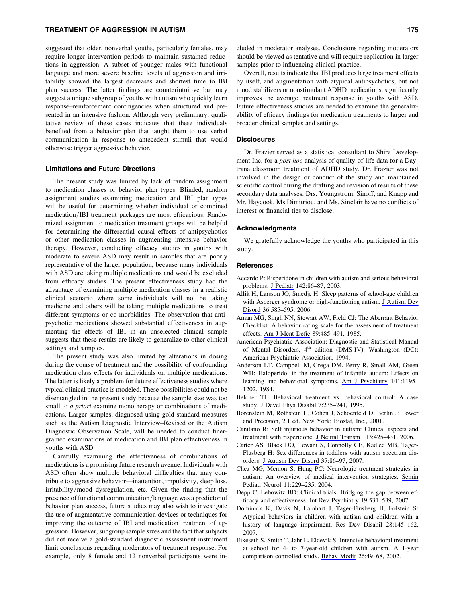## TREATMENT OF AGGRESSION IN AUTISM 175

suggested that older, nonverbal youths, particularly females, may require longer intervention periods to maintain sustained reductions in aggression. A subset of younger males with functional language and more severe baseline levels of aggression and irritability showed the largest decreases and shortest time to IBI plan success. The latter findings are counterintuitive but may suggest a unique subgroup of youths with autism who quickly learn response–reinforcement contingencies when structured and presented in an intensive fashion. Although very preliminary, qualitative review of these cases indicates that these individuals benefited from a behavior plan that taught them to use verbal communication in response to antecedent stimuli that would otherwise trigger aggressive behavior.

## Limitations and Future Directions

The present study was limited by lack of random assignment to medication classes or behavior plan types. Blinded, random assignment studies examining medication and IBI plan types will be useful for determining whether individual or combined medication/IBI treatment packages are most efficacious. Randomized assignment to medication treatment groups will be helpful for determining the differential causal effects of antipsychotics or other medication classes in augmenting intensive behavior therapy. However, conducting efficacy studies in youths with moderate to severe ASD may result in samples that are poorly representative of the larger population, because many individuals with ASD are taking multiple medications and would be excluded from efficacy studies. The present effectiveness study had the advantage of examining multiple medication classes in a realistic clinical scenario where some individuals will not be taking medicine and others will be taking multiple medications to treat different symptoms or co-morbidities. The observation that antipsychotic medications showed substantial effectiveness in augmenting the effects of IBI in an unselected clinical sample suggests that these results are likely to generalize to other clinical settings and samples.

The present study was also limited by alterations in dosing during the course of treatment and the possibility of confounding medication class effects for individuals on multiple medications. The latter is likely a problem for future effectiveness studies where typical clinical practice is modeled. These possibilities could not be disentangled in the present study because the sample size was too small to *a priori* examine monotherapy or combinations of medications. Larger samples, diagnosed using gold-standard measures such as the Autism Diagnostic Interview–Revised or the Autism Diagnostic Observation Scale, will be needed to conduct finergrained examinations of medication and IBI plan effectiveness in youths with ASD.

Carefully examining the effectiveness of combinations of medications is a promising future research avenue. Individuals with ASD often show multiple behavioral difficulties that may contribute to aggressive behavior—inattention, impulsivity, sleep loss, irritability/mood dysregulation, etc. Given the finding that the presence of functional communication/language was a predictor of behavior plan success, future studies may also wish to investigate the use of augmentative communication devices or techniques for improving the outcome of IBI and medication treatment of aggression. However, subgroup sample sizes and the fact that subjects did not receive a gold-standard diagnostic assessment instrument limit conclusions regarding moderators of treatment response. For example, only 8 female and 12 nonverbal participants were included in moderator analyses. Conclusions regarding moderators should be viewed as tentative and will require replication in larger samples prior to influencing clinical practice.

Overall, results indicate that IBI produces large treatment effects by itself, and augmentation with atypical antipsychotics, but not mood stabilizers or nonstimulant ADHD medications, significantly improves the average treatment response in youths with ASD. Future effectiveness studies are needed to examine the generalizability of efficacy findings for medication treatments to larger and broader clinical samples and settings.

#### **Disclosures**

Dr. Frazier served as a statistical consultant to Shire Development Inc. for a *post hoc* analysis of quality-of-life data for a Daytrana classroom treatment of ADHD study. Dr. Frazier was not involved in the design or conduct of the study and maintained scientific control during the drafting and revision of results of these secondary data analyses. Drs. Youngstrom, Sinoff, and Knapp and Mr. Haycook, Ms.Dimitriou, and Ms. Sinclair have no conflicts of interest or financial ties to disclose.

# Acknowledgments

We gratefully acknowledge the youths who participated in this study.

## References

- Accardo P: Risperidone in children with autism and serious behavioral problems. J Pediatr 142:86–87, 2003.
- Allik H, Larsson JO, Smedje H: Sleep patterns of school-age children with Asperger syndrome or high-functioning autism. J Autism Dev Disord 36:585–595, 2006.
- Aman MG, Singh NN, Stewart AW, Field CJ: The Aberrant Behavior Checklist: A behavior rating scale for the assessment of treatment effects. Am J Ment Defic 89:485–491, 1985.
- American Psychiatric Association: Diagnostic and Statistical Manual of Mental Disorders, 4<sup>th</sup> edition (DMS-IV). Washington (DC): American Psychiatric Association, 1994.
- Anderson LT, Campbell M, Grega DM, Perry R, Small AM, Green WH: Haloperidol in the treatment of infantile autism: Effects on learning and behavioral symptoms. Am J Psychiatry 141:1195– 1202, 1984.
- Belcher TL. Behavioral treatment vs. behavioral control: A case study. J Devel Phys Disabil 7:235–241, 1995.
- Borenstein M, Rothstein H, Cohen J, Schoenfeld D, Berlin J: Power and Precision, 2.1 ed. New York: Biostat, Inc., 2001.
- Canitano R: Self injurious behavior in autism: Clinical aspects and treatment with risperidone. J Neural Transm 113:425–431, 2006.
- Carter AS, Black DO, Tewani S, Connolly CE, Kadlec MB, Tager-Flusberg H: Sex differences in toddlers with autism spectrum disorders. J Autism Dev Disord 37:86–97, 2007.
- Chez MG, Memon S, Hung PC: Neurologic treatment strategies in autism: An overview of medical intervention strategies. Semin Pediatr Neurol 11:229–235, 2004.
- Depp C, Lebowitz BD: Clinical trials: Bridging the gap between efficacy and effectiveness. Int Rev Psychiatry 19:531–539, 2007.
- Dominick K, Davis N, Lainhart J, Tager-Flusberg H, Folstein S: Atypical behaviors in children with autism and children with a history of language impairment. Res Dev Disabil 28:145–162, 2007.
- Eikeseth S, Smith T, Jahr E, Eldevik S: Intensive behavioral treatment at school for 4- to 7-year-old children with autism. A 1-year comparison controlled study. Behav Modif 26:49–68, 2002.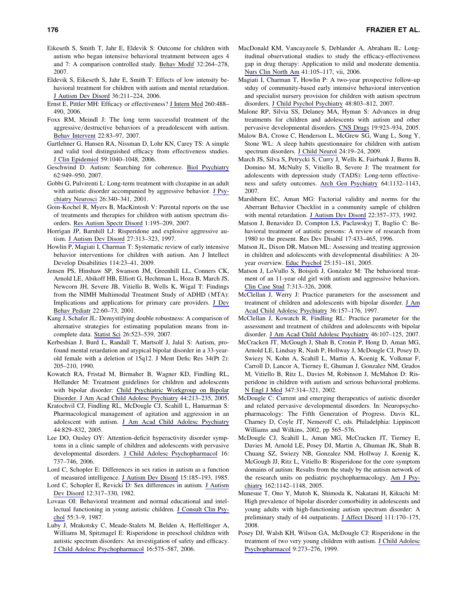- Eikeseth S, Smith T, Jahr E, Eldevik S: Outcome for children with autism who began intensive behavioral treatment between ages 4 and 7: A comparison controlled study. Behav Modif 32:264–278, 2007.
- Eldevik S, Eikeseth S, Jahr E, Smith T: Effects of low intensity behavioral treatment for children with autism and mental retardation. J Autism Dev Disord 36:211–224, 2006.
- Ernst E, Pittler MH: Efficacy or effectiveness? J Intern Med 260:488– 490, 2006.
- Foxx RM, Meindl J: The long term successful treatment of the aggressive/destructive behaviors of a preadolescent with autism. Behav Intervent 22:83–97, 2007.
- Gartlehner G, Hansen RA, Nissman D, Lohr KN, Carey TS: A simple and valid tool distinguished efficacy from effectiveness studies. J Clin Epidemiol 59:1040–1048, 2006.
- Geschwind D. Autism: Searching for coherence. Biol Psychiatry 62:949–950, 2007.
- Gobbi G, Pulvirenti L: Long-term treatment with clozapine in an adult with autistic disorder accompanied by aggressive behavior. J Psychiatry Neurosci 26:340–341, 2001.
- Goin-Kochel R, Myers B, MacKintosh V: Parental reports on the use of treatments and therapies for children with autism spectrum disorders. Res Autism Spectr Disord 1:195–209, 2007.
- Horrigan JP, Barnhill LJ: Risperidone and explosive aggressive autism. J Autism Dev Disord 27:313–323, 1997.
- Howlin P, Magiati I, Charman T: Systematic review of early intensive behavior interventions for children with autism. Am J Intellect Develop Disabilities 114:23–41, 2009.
- Jensen PS, Hinshaw SP, Swanson JM, Greenhill LL, Conners CK, Arnold LE, Abikoff HB, Elliott G, Hechtman L, Hoza B, March JS, Newcorn JH, Severe JB, Vitiello B, Wells K, Wigal T: Findings from the NIMH Multimodal Treatment Study of ADHD (MTA): Implications and applications for primary care providers. J Dev Behav Pediatr 22:60–73, 2001.
- Kang J, Schafer JL: Demystifying double robustness: A comparison of alternative strategies for estimating population means from incomplete data. Statist Sci 26:523–539, 2007.
- Kerbeshian J, Burd L, Randall T, Martsolf J, Jalal S: Autism, profound mental retardation and atypical bipolar disorder in a 33-yearold female with a deletion of 15q12. J Ment Defic Res 34(Pt 2): 205–210, 1990.
- Kowatch RA, Fristad M, Birmaher B, Wagner KD, Findling RL, Hellander M: Treatment guidelines for children and adolescents with bipolar disorder: Child Psychiatric Workgroup on Bipolar Disorder. J Am Acad Child Adolesc Psychiatry 44:213–235, 2005.
- Kratochvil CJ, Findling RL, McDougle CJ, Scahill L, Hamarman S: Pharmacological management of agitation and aggression in an adolescent with autism. J Am Acad Child Adolesc Psychiatry 44:829–832, 2005.
- Lee DO, Ousley OY: Attention-deficit hyperactivity disorder symptoms in a clinic sample of children and adolescents with pervasive developmental disorders. J Child Adolesc Psychopharmacol 16: 737–746, 2006.
- Lord C, Schopler E: Differences in sex ratios in autism as a function of measured intelligence. J Autism Dev Disord 15:185–193, 1985.
- Lord C, Schopler E, Revicki D: Sex differences in autism. J Autism Dev Disord 12:317–330, 1982.
- Lovaas OI: Behavioral treatment and normal educational and intellectual functioning in young autistic children. J Consult Clin Psychol 55:3–9, 1987.
- Luby J, Mrakotsky C, Meade-Stalets M, Belden A, Heffelfinger A, Williams M, Spitznagel E: Risperidone in preschool children with autistic spectrum disorders: An investigation of safety and efficacy. J Child Adolesc Psychopharmacol 16:575–587, 2006.
- MacDonald KM, Vancayzeele S, Deblander A, Abraham IL: Longitudinal observational studies to study the efficacy-effectiveness gap in drug therapy: Application to mild and moderate dementia. Nurs Clin North Am 41:105–117, vii, 2006.
- Magiati I, Charman T, Howlin P: A two-year prospective follow-up stduy of community-based early intensive behavioral intervention and specialist nursery provision for children with autism spectrum disorders. J Child Psychol Psychiatry 48:803–812, 2007.
- Malone RP, Silvia SS, Delaney MA, Hyman S: Advances in drug treatments for children and adolescents with autism and other pervasive developmental disorders. CNS Drugs 19:923–934, 2005.
- Malow BA, Crowe C, Henderson L, McGrew SG, Wang L, Song Y, Stone WL: A sleep habits questionnaire for children with autism spectrum disorders. J Child Neurol 24:19–24, 2009.
- March JS, Silva S, Petrycki S, Curry J, Wells K, Fairbank J, Burns B, Domino M, McNulty S, Vitiello B, Severe J: The treatment for adolescents with depression study (TADS): Long-term effectiveness and safety outcomes. Arch Gen Psychiatry 64:1132–1143, 2007.
- Marshburn EC, Aman MG: Factorial validity and norms for the Aberrant Behavior Checklist in a community sample of children with mental retardation. J Autism Dev Disord 22:357–373, 1992.
- Matson J, Benavidez D, Compton LS, Paclawskyj T, Baglio C: Behavioral treatment of autistic persons: A review of research from 1980 to the present. Res Dev Disabil 17:433–465, 1996.
- Matson JL, Dixon DR, Matson ML: Assessing and treating aggression in children and adolescents with developmental disabilities: A 20 year overview. Educ Psychol 25:151–181, 2005.
- Matson J, LoVullo S, Boisjoli J, Gonzalez M: The behavioral treatment of an 11-year old girl with autism and aggressive behaviors. Clin Case Stud 7:313–326, 2008.
- McClellan J, Werry J: Practice parameters for the assessment and treatment of children and adolescents with bipolar disorder. J Am Acad Child Adolesc Psychiatry 36:157–176, 1997.
- McClellan J, Kowatch R, Findling RL: Practice parameter for the assessment and treatment of children and adolescents with bipolar disorder. J Am Acad Child Adolesc Psychiatry 46:107–125, 2007.
- McCracken JT, McGough J, Shah B, Cronin P, Hong D, Aman MG, Arnold LE, Lindsay R, Nash P, Hollway J, McDougle CJ, Posey D, Swiezy N, Kohn A, Scahill L, Martin A, Koenig K, Volkmar F, Carroll D, Lancor A, Tierney E, Ghuman J, Gonzalez NM, Grados M, Vitiello B, Ritz L, Davies M, Robinson J, McMahon D: Risperidone in children with autism and serious behavioral problems. N Engl J Med 347:314–321, 2002.
- McDougle C: Current and emerging therapeutics of autistic disorder and related pervasive developmental disorders. In: Neuropsychopharmacology: The Fifth Generation of Progress. Davis KL, Charney D, Coyle JT, Nemeroff C, eds. Philadelphia: Lippincott Williams and Wilkins, 2002, pp 565–576.
- McDougle CJ, Scahill L, Aman MG, McCracken JT, Tierney E, Davies M, Arnold LE, Posey DJ, Martin A, Ghuman JK, Shah B, Chuang SZ, Swiezy NB, Gonzalez NM, Hollway J, Koenig K, McGough JJ, Ritz L, Vitiello B: Risperidone for the core symptom domains of autism: Results from the study by the autism network of the research units on pediatric psychopharmacology. Am J Psychiatry 162:1142–1148, 2005.
- Munesue T, Ono Y, Mutoh K, Shimoda K, Nakatani H, Kikuchi M: High prevalence of bipolar disorder comorbidity in adolescents and young adults with high-functioning autism spectrum disorder: A preliminary study of 44 outpatients. J Affect Disord 111:170–175, 2008.
- Posey DJ, Walsh KH, Wilson GA, McDougle CJ: Risperidone in the treatment of two very young children with autism. J Child Adolesc Psychopharmacol 9:273–276, 1999.